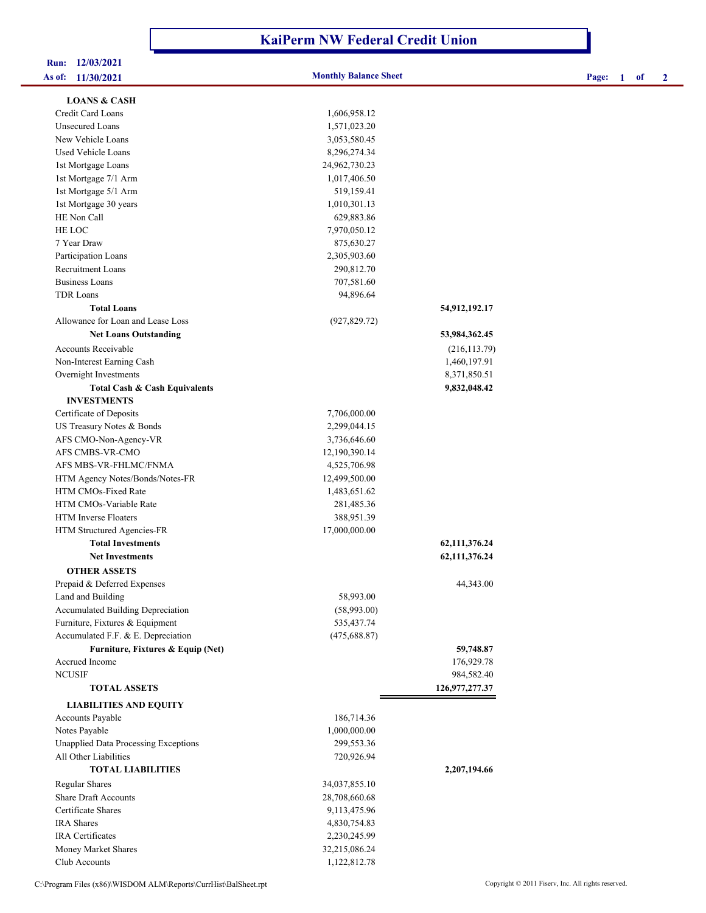## **KaiPerm NW Federal Credit Union**

# **Run: 12/03/2021**

**As of: 11/30/2021 Monthly Balance Sheet Page: 1 of 2**

| <b>LOANS &amp; CASH</b>                     |               |                   |
|---------------------------------------------|---------------|-------------------|
| Credit Card Loans                           | 1,606,958.12  |                   |
| Unsecured Loans                             | 1,571,023.20  |                   |
| New Vehicle Loans                           | 3,053,580.45  |                   |
| Used Vehicle Loans                          | 8,296,274.34  |                   |
| 1st Mortgage Loans                          | 24,962,730.23 |                   |
| 1st Mortgage 7/1 Arm                        | 1,017,406.50  |                   |
| 1st Mortgage 5/1 Arm                        | 519,159.41    |                   |
| 1st Mortgage 30 years                       | 1,010,301.13  |                   |
| HE Non Call                                 | 629,883.86    |                   |
| HE LOC                                      | 7,970,050.12  |                   |
| 7 Year Draw                                 | 875,630.27    |                   |
| Participation Loans                         | 2,305,903.60  |                   |
| <b>Recruitment Loans</b>                    | 290,812.70    |                   |
| Business Loans                              | 707,581.60    |                   |
| <b>TDR Loans</b>                            | 94,896.64     |                   |
| <b>Total Loans</b>                          |               | 54,912,192.17     |
| Allowance for Loan and Lease Loss           | (927, 829.72) |                   |
| <b>Net Loans Outstanding</b>                |               | 53,984,362.45     |
| <b>Accounts Receivable</b>                  |               | (216, 113.79)     |
| Non-Interest Earning Cash                   |               | 1,460,197.91      |
| Overnight Investments                       |               | 8,371,850.51      |
| <b>Total Cash &amp; Cash Equivalents</b>    |               | 9,832,048.42      |
| <b>INVESTMENTS</b>                          |               |                   |
| Certificate of Deposits                     | 7,706,000.00  |                   |
| US Treasury Notes & Bonds                   | 2,299,044.15  |                   |
| AFS CMO-Non-Agency-VR                       | 3,736,646.60  |                   |
| AFS CMBS-VR-CMO                             | 12,190,390.14 |                   |
| AFS MBS-VR-FHLMC/FNMA                       | 4,525,706.98  |                   |
| HTM Agency Notes/Bonds/Notes-FR             | 12,499,500.00 |                   |
| HTM CMOs-Fixed Rate                         | 1,483,651.62  |                   |
| HTM CMOs-Variable Rate                      | 281,485.36    |                   |
| <b>HTM</b> Inverse Floaters                 | 388,951.39    |                   |
| HTM Structured Agencies-FR                  | 17,000,000.00 |                   |
| <b>Total Investments</b>                    |               | 62, 111, 376. 24  |
| <b>Net Investments</b>                      |               | 62,111,376.24     |
| <b>OTHER ASSETS</b>                         |               |                   |
| Prepaid & Deferred Expenses                 |               | 44,343.00         |
| Land and Building                           | 58,993.00     |                   |
| Accumulated Building Depreciation           | (58,993.00)   |                   |
| Furniture, Fixtures & Equipment             | 535,437.74    |                   |
| Accumulated F.F. & E. Depreciation          | (475, 688.87) |                   |
| Furniture, Fixtures & Equip (Net)           |               | 59,748.87         |
| Accrued Income                              |               | 176,929.78        |
| <b>NCUSIF</b>                               |               | 984,582.40        |
| <b>TOTAL ASSETS</b>                         |               | 126, 977, 277. 37 |
| <b>LIABILITIES AND EQUITY</b>               |               |                   |
| Accounts Payable                            | 186,714.36    |                   |
| Notes Payable                               | 1,000,000.00  |                   |
| <b>Unapplied Data Processing Exceptions</b> | 299,553.36    |                   |
| All Other Liabilities                       | 720,926.94    |                   |
| <b>TOTAL LIABILITIES</b>                    |               | 2,207,194.66      |
| <b>Regular Shares</b>                       | 34,037,855.10 |                   |
| <b>Share Draft Accounts</b>                 |               |                   |
| Certificate Shares                          | 28,708,660.68 |                   |
| <b>IRA</b> Shares                           | 9,113,475.96  |                   |
| IRA Certificates                            | 4,830,754.83  |                   |
|                                             | 2,230,245.99  |                   |
| Money Market Shares<br>Club Accounts        | 32,215,086.24 |                   |
|                                             | 1,122,812.78  |                   |